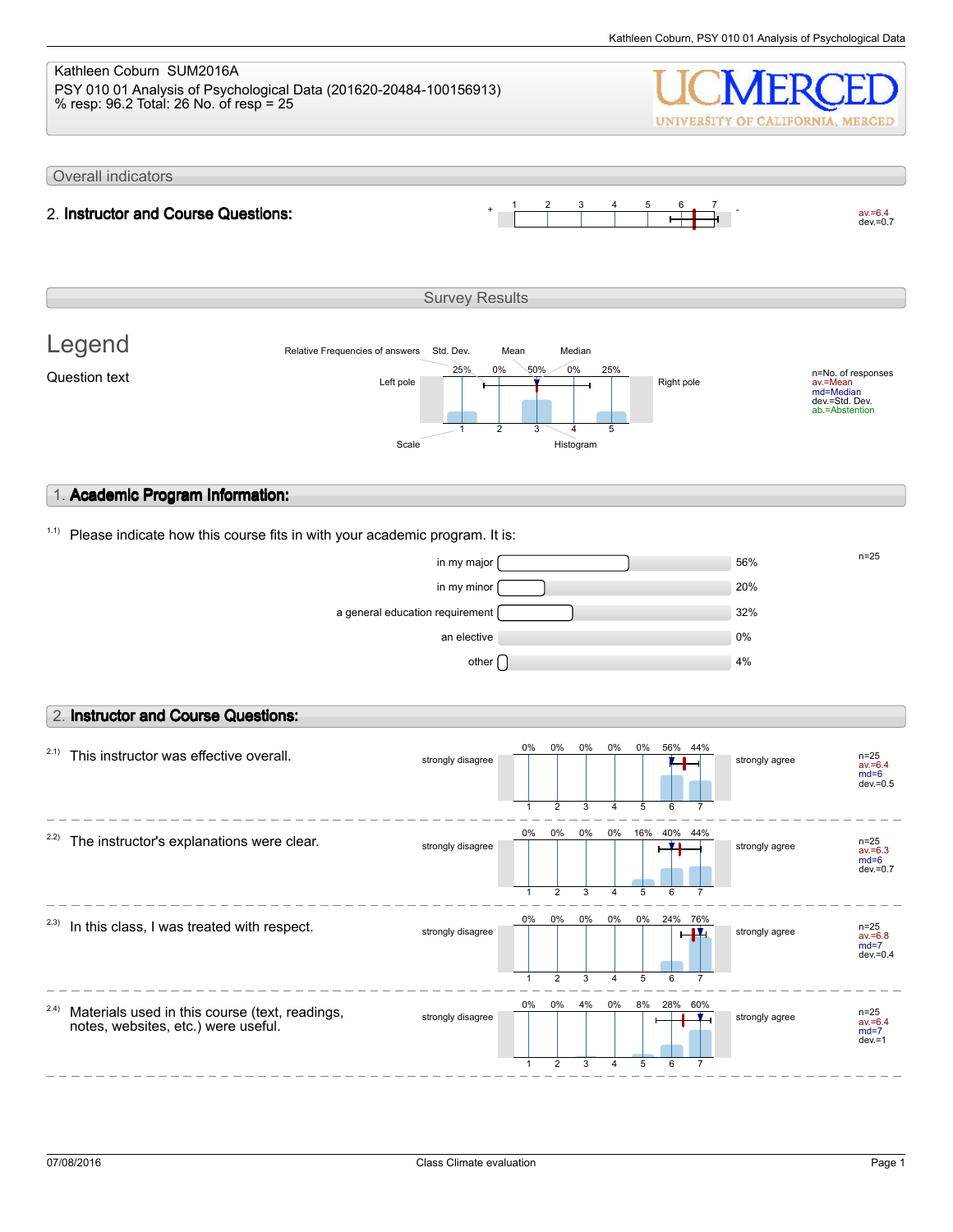#### Kathleen Coburn SUM2016A PSY 010 01 Analysis of Psychological Data (201620-20484-100156913) % resp: 96.2 Total: 26 No. of resp = 25 UNIVERSITY OF CALIFORNIA, MERCED Overall indicators 1 2 3 4 5 6 7  $av.=6.4$ <br>dev.=0.7 2. **Instructor and Course Questions:** Survey Results Legend Relative Frequencies of answers Std. Dev. Mean Median 0% 25% 0% 50% 25% n=No. of responses av.=Mean md=Median Question text  $L$  and  $L$  the  $\frac{L}{L}$  and  $\frac{L}{L}$  and  $\frac{L}{L}$  Right pole dev.=Std. Dev. ab.=Abstention 1 2 3 4 5 Scale Histogram 1. **Academic Program Information:**  $1.1)$  Please indicate how this course fits in with your academic program. It is:  $\frac{m}{25}$  in my major  $\frac{m}{25}$ in my minor 20% a general education requirement 32% an elective 0% other  $\bigcap$  and  $\bigcap$  and  $\bigcap$  and  $\bigcap$  and  $\bigcap$  and  $\bigcap$  and  $\bigcap$  and  $\bigcap$  and  $\bigcap$  and  $\bigcap$  and  $\bigcap$  and  $\bigcap$  and  $\bigcap$  and  $\bigcap$  and  $\bigcap$  and  $\bigcap$  and  $\bigcap$  and  $\bigcap$  and  $\bigcap$  and  $\bigcap$  and  $\bigcap$  and  $\bigcap$ 2. **Instructor and Course Questions:** 0% 0% 0% 0% 0% 56%  $2.1)$  This instructor was effective overall. 44% strongly disagree  $\begin{array}{|c|c|c|c|c|c|c|c|c|}\n\hline\n\hline\n\text{1} & \text{1} & \text{1} & \text{1} & \text{1} & \text{1} & \text{1} & \text{1} & \text{1} & \text{1} \\
\hline\n\text{25} & \text{26} & \text{36} & \text{48} & \text{48} & \text{48} & \text{48} & \text{49} & \text{40} & \text{40} & \text{40} & \text{40} & \text{40} & \text{40} & \text{40}$ av.=6.4 md=6 dev.=0.5 1 2 3 4 5 6 7 0% 0% 0% 0% 16% 40% 44%  $2.2$ ) The instructor's explanations were clear. strongly disagree strongly agree av.=6.3 md=6  $dev = 0.7$ 1 2 3 4 5 6 7 0% 0% 0% 0% 0% 24% 76%  $2.3)$  In this class, I was treated with respect. strongly disagree strongly agree av.=6.8 md=7 dev.=0.4 1 2 3 4 5 6 7 0% 0% 4% 0% 8% 28% 60% 2.4) Materials used in this course (text, readings, strongly disagree strongly disagree av.=6.4 md=7 notes, websites, etc.) were useful.  $dev = 1$

1

2

3

4

5

6

7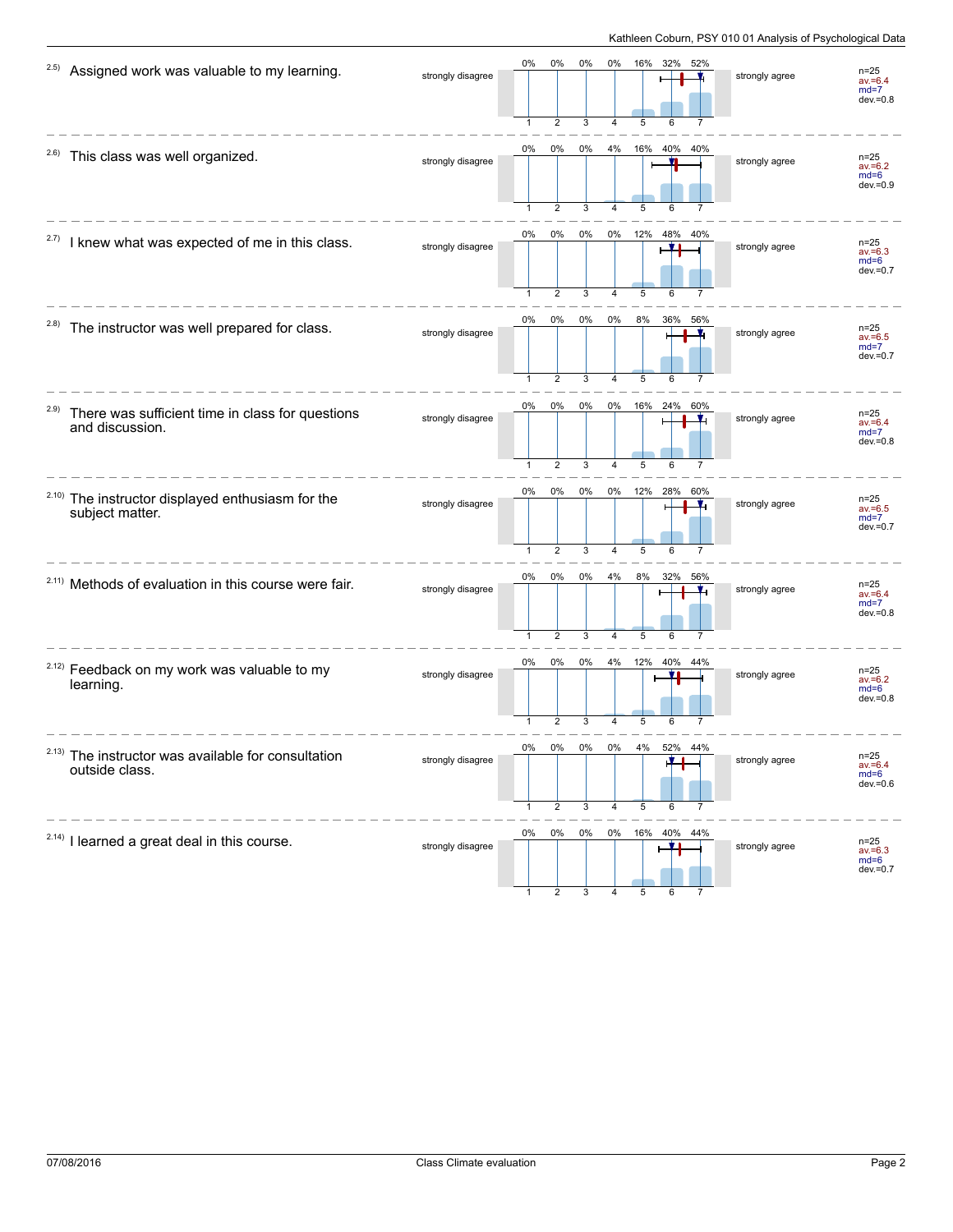| 2.5)  | Assigned work was valuable to my learning.                                       | strongly disagree | 0%                 | 0%<br>$\overline{2}$    | $0\%$<br>3 | 0%             | 16%      | 32%<br>52%             | strongly agree | $n = 25$<br>$av = 6.4$<br>$md=7$<br>$dev = 0.8$ |
|-------|----------------------------------------------------------------------------------|-------------------|--------------------|-------------------------|------------|----------------|----------|------------------------|----------------|-------------------------------------------------|
|       | <sup>2.6)</sup> This class was well organized.                                   | strongly disagree | 0%                 | 0%<br>$\overline{2}$    | $0\%$<br>3 | 4%             | 5        | 16% 40% 40%            | strongly agree | $n=25$<br>$av = 6.2$<br>$md=6$<br>$dev = 0.9$   |
| 2.7)  | I knew what was expected of me in this class.                                    | strongly disagree | 0%                 | 0%<br>$\overline{2}$    | 0%<br>3    | 0%             | 12%<br>5 | 48%<br>40%<br><u>y</u> | strongly agree | $n = 25$<br>$av = 6.3$<br>$md=6$<br>$dev = 0.7$ |
| (2.8) | The instructor was well prepared for class.                                      | strongly disagree | 0%<br>$\mathbf{1}$ | 0%<br>$\overline{2}$    | 0%<br>3    | 0%<br>4        | 8%<br>5  | 36%<br>56%             | strongly agree | $n = 25$<br>$av = 6.5$<br>$md=7$<br>$dev = 0.7$ |
| 2.9)  | There was sufficient time in class for questions<br>and discussion.              | strongly disagree | 0%<br>$\mathbf{1}$ | 0%<br>$\overline{2}$    | 0%<br>3    | 0%<br>$\Delta$ | 5        | 16% 24%<br>60%<br>6    | strongly agree | $n=25$<br>$av = 6.4$<br>$md=7$<br>$dev = 0.8$   |
|       | <sup>2.10)</sup> The instructor displayed enthusiasm for the<br>subject matter.  | strongly disagree | 0%                 | 0%<br>$\overline{2}$    | 0%<br>3    | $0\%$          | 12% 28%  | 60%                    | strongly agree | $n = 25$<br>$av = 6.5$<br>$md=7$<br>$dev = 0.7$ |
|       | <sup>2.11)</sup> Methods of evaluation in this course were fair.                 | strongly disagree | 0%                 | 0%<br>$\overline{2}$    | 0%<br>3    | 4%<br>4        | 8%<br>5  | 32%<br>56%             | strongly agree | $n=25$<br>$av = 6.4$<br>$md=7$<br>$dev = 0.8$   |
|       | <sup>2.12)</sup> Feedback on my work was valuable to my<br>learning.             | strongly disagree | 0%                 | $0\%$<br>$\overline{2}$ | 0%<br>3    | 4%             | 12%<br>5 | 40%<br>44%             | strongly agree | $n=25$<br>$av = 6.2$<br>$md=6$<br>$dev = 0.8$   |
|       | <sup>2.13)</sup> The instructor was available for consultation<br>outside class. | strongly disagree | 0%                 | 0%<br>2                 | U70<br>3   | U70<br>4       | 5        | 5∠70<br>44%<br>6       | strongly agree | $n=25$<br>$av = 6.4$<br>$md=6$<br>$dev = 0.6$   |
|       | <sup>2.14)</sup> I learned a great deal in this course.                          | strongly disagree | 0%                 | 0%                      | 0%         |                |          | 0% 16% 40% 44%         | strongly agree | n=25<br>av.=6.3<br>$md=6$<br>$dev = 0.7$        |

1 2 3 4 5 6 7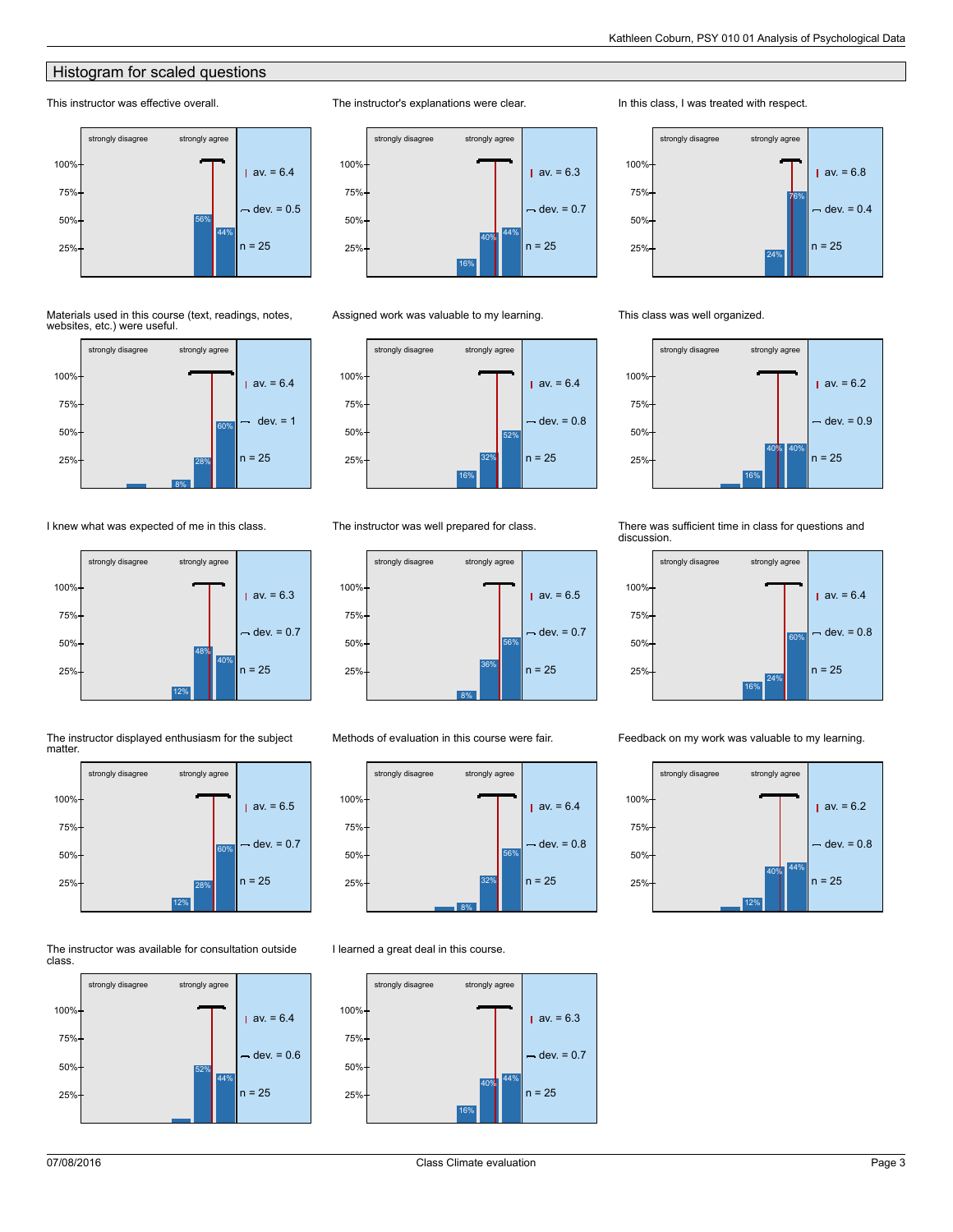# **Histogram for scaled questions**

# This instructor was effective overall.



#### Materials used in this course (text, readings, notes, websites, etc.) were useful.



## I knew what was expected of me in this class.







#### The instructor was available for consultation outside class.





#### Assigned work was valuable to my learning.

The instructor's explanations were clear.



#### The instructor was well prepared for class.



#### Methods of evaluation in this course were fair.



#### I learned a great deal in this course.



### In this class, I was treated with respect.



### This class was well organized.



#### There was sufficient time in class for questions and discussion.



Feedback on my work was valuable to my learning.

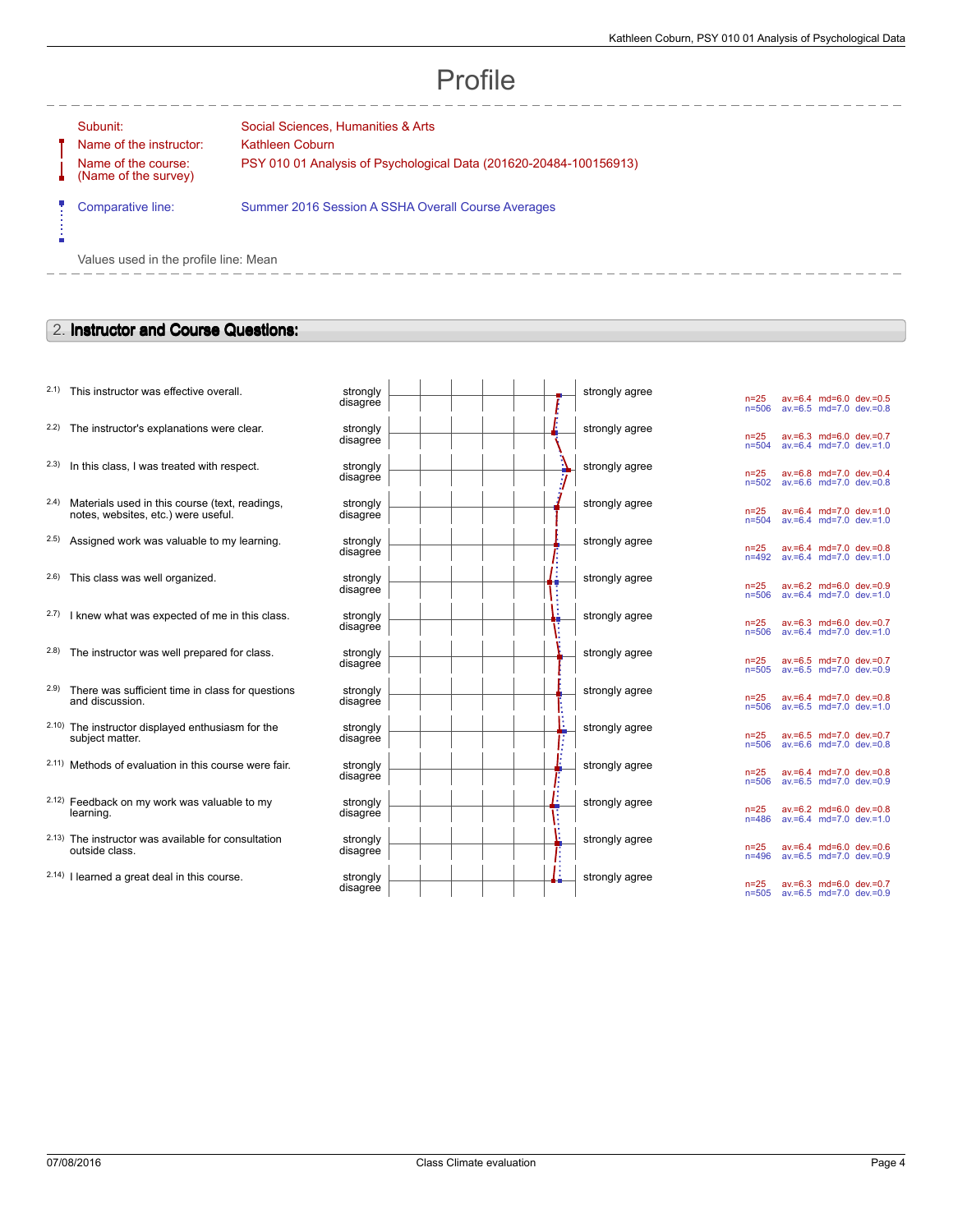# Profile

Ė

Name of the instructor: Kathleen Coburn Name of the course: (Name of the survey)

Subunit: Social Sciences, Humanities & Arts PSY 010 01 Analysis of Psychological Data (201620-20484-100156913)

Comparative line: Summer 2016 Session A SSHA Overall Course Averages

Values used in the profile line: Mean

# 2. **Instructor and Course Questions:**

- $2.1$ ) This instructor was effective overall.
- $2.2$ ) The instructor's explanations were clear.
- $2.3$  In this class, I was treated with respect.
- 2.4) Materials used in this course (text, readings, notes, websites, etc.) were useful.
- $2.5$ ) Assigned work was valuable to my learning.
- $2.6$ ) This class was well organized.
- $2.7)$  I knew what was expected of me in this class.
- $2.8$ ) The instructor was well prepared for class.
- 2.9) There was sufficient time in class for questions and discussion.
- 2.10) The instructor displayed enthusiasm for the subject matter.
- 2.11) Methods of evaluation in this course were fair.
- 2.12) Feedback on my work was valuable to my learning.
- 2.13) The instructor was available for consultation outside class.
- $2.14$ ) I learned a great deal in this course.

| strongly<br>disagree | strongly agree |
|----------------------|----------------|
| strongly<br>disagree | strongly agree |
| strongly<br>disagree | strongly agree |
| strongly<br>disagree | strongly agree |
| strongly<br>disagree | strongly agree |
| strongly<br>disagree | strongly agree |
| strongly<br>disagree | strongly agree |
| strongly<br>disagree | strongly agree |
| strongly<br>disagree | strongly agree |
| strongly<br>disagree | strongly agree |
| strongly<br>disagree | strongly agree |
| strongly<br>disagree | strongly agree |
| strongly<br>disagree | strongly agree |
| strongly<br>disagree | strongly agree |

| n=25      | $av = 6.4$ | md=6.0     | $dev = 0.5$ |
|-----------|------------|------------|-------------|
| $n = 506$ | $av = 6.5$ | $md = 7.0$ | $dev = 0.8$ |
| n=25      | av.=6.3    | md=6.0     | $dev = 0.7$ |
| $n = 504$ | $av = 6.4$ | $md = 7.0$ | $dev = 1.0$ |
| n=25      | av.=6.8    | md=7.0     | $dev = 0.4$ |
| $n = 502$ | $av = 6.6$ | $md = 7.0$ | $dev = 0.8$ |
| n=25      | $av = 6.4$ | md=7.0     | $dev = 1.0$ |
| $n = 504$ | $av = 6.4$ | $md = 7.0$ | $dev = 1.0$ |
| n=25      | $av = 6.4$ | md=7.0     | $dev = 0.8$ |
| $n = 492$ | $av = 6.4$ | $md = 7.0$ | $dev = 1.0$ |
| $n=25$    | $av = 6.2$ | $md=6.0$   | $dev = 0.9$ |
| $n = 506$ | $av = 6.4$ | $md=7.0$   | $dev = 1.0$ |
| n=25      | av.=6.3    | md=6.0     | $dev = 0.7$ |
| n=506     | $av = 6.4$ | $md = 7.0$ | $dev = 1.0$ |
| n=25      | av.=6.5    | md=7.0     | $dev = 0.7$ |
| $n = 505$ | $av = 6.5$ | $md = 7.0$ | $dev = 0.9$ |
| n=25      | $av = 6.4$ | md=7.0     | $dev = 0.8$ |
| $n = 506$ | $av = 6.5$ | $md = 7.0$ | $dev = 1.0$ |
| n=25      | $av = 6.5$ | md=7.0     | $dev = 0.7$ |
| n=506     | $av = 6.6$ | $md = 7.0$ | $dev = 0.8$ |
| $n=25$    | $av = 6.4$ | $md=7.0$   | $dev = 0.8$ |
| $n = 506$ | $av = 6.5$ | $md=7.0$   | $dev = 0.9$ |
| n=25      | av.=6.2    | md=6.0     | $dev = 0.8$ |
| $n = 486$ | $av = 6.4$ | $md = 7.0$ | $dev = 1.0$ |
| n=25      | $av = 6.4$ | $md=6.0$   | $dev = 0.6$ |
| n=496     | $av = 6.5$ | $md = 7.0$ | $dev = 0.9$ |
| $n=25$    | $av = 6.3$ | md=6.0     | $dev = 0.7$ |
| $n = 505$ | $av = 6.5$ | $md=7.0$   | $dev = 0.9$ |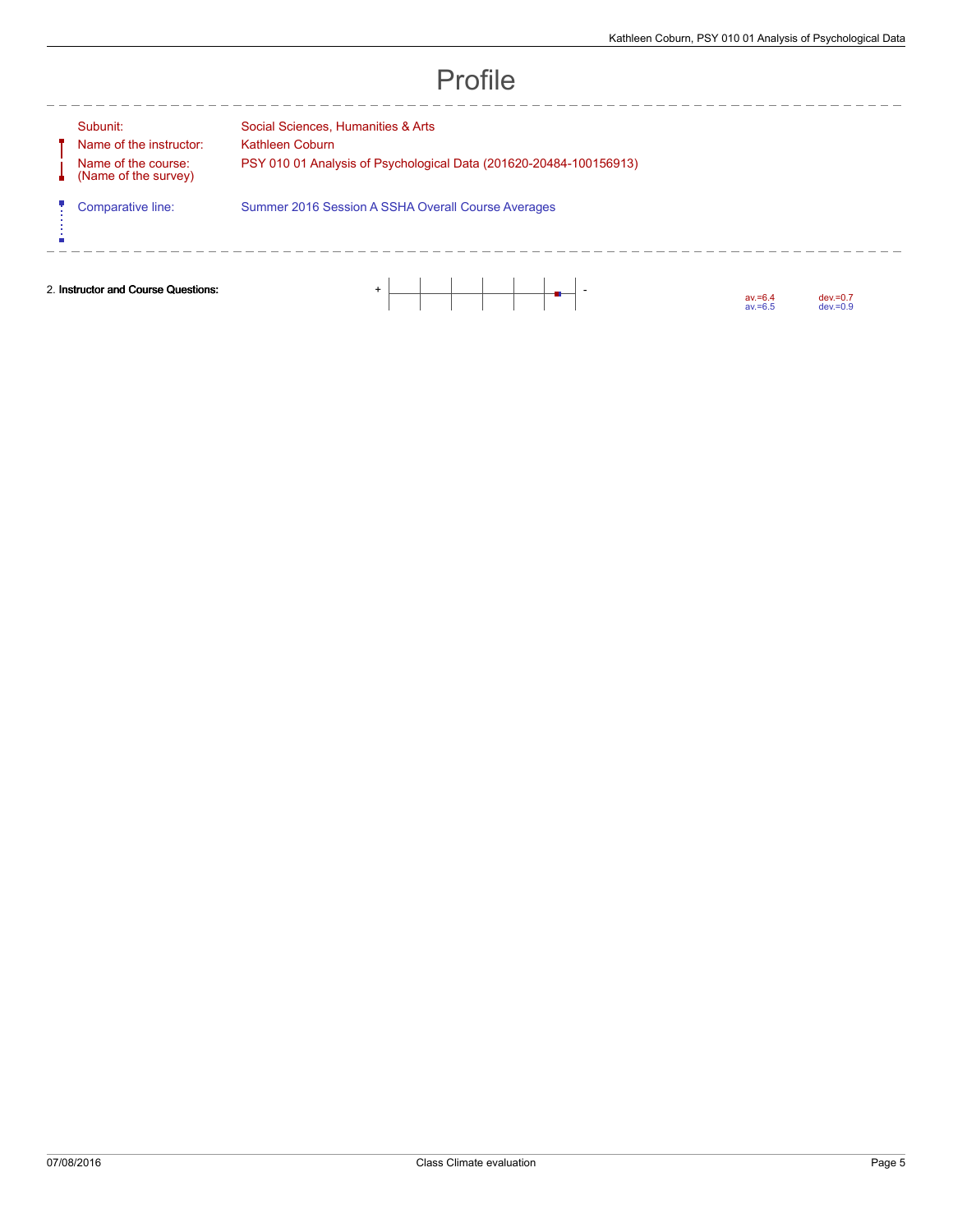$\frac{1}{2}$ 

Subunit: Social Sciences, Humanities & Arts Name of the instructor: Kathleen Coburn Name of the course: A (Name of the survey) ψ

--------

PSY 010 01 Analysis of Psychological Data (201620-20484-100156913)

Comparative line: Summer 2016 Session A SSHA Overall Course Averages

ń

2. **Instructor and Course Questions:** + -

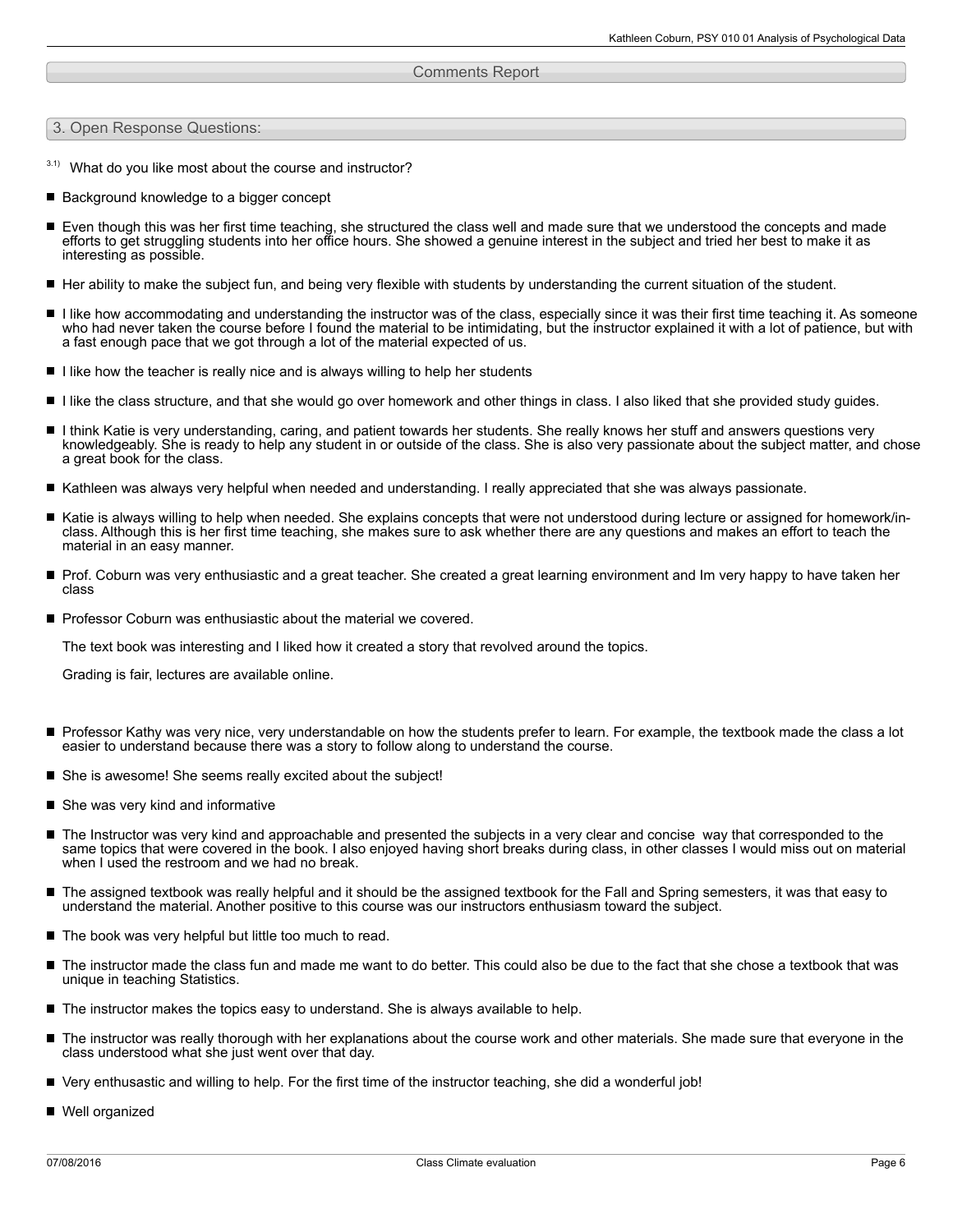#### Comments Report

3. Open Response Questions:

- $3.1)$  What do you like most about the course and instructor?
- Background knowledge to a bigger concept
- Even though this was her first time teaching, she structured the class well and made sure that we understood the concepts and made efforts to get struggling students into her office hours. She showed a genuine interest in the subject and tried her best to make it as interesting as possible.
- Her ability to make the subject fun, and being very flexible with students by understanding the current situation of the student.
- I like how accommodating and understanding the instructor was of the class, especially since it was their first time teaching it. As someone  $\blacksquare$ who had never taken the course before I found the material to be intimidating, but the instructor explained it with a lot of patience, but with a fast enough pace that we got through a lot of the material expected of us.
- $\blacksquare$  I like how the teacher is really nice and is always willing to help her students
- I like the class structure, and that she would go over homework and other things in class. I also liked that she provided study guides.
- I think Katie is very understanding, caring, and patient towards her students. She really knows her stuff and answers questions very knowledgeably. She is ready to help any student in or outside of the class. She is also very passionate about the subject matter, and chose a great book for the class.
- Kathleen was always very helpful when needed and understanding. I really appreciated that she was always passionate.
- Katie is always willing to help when needed. She explains concepts that were not understood during lecture or assigned for homework/inclass. Although this is her first time teaching, she makes sure to ask whether there are any questions and makes an effort to teach the material in an easy manner.
- Prof. Coburn was very enthusiastic and a great teacher. She created a great learning environment and Im very happy to have taken her class
- **Perofessor Coburn was enthusiastic about the material we covered.**

The text book was interesting and I liked how it created a story that revolved around the topics.

Grading is fair, lectures are available online.

- Professor Kathy was very nice, very understandable on how the students prefer to learn. For example, the textbook made the class a lot easier to understand because there was a story to follow along to understand the course.
- She is awesome! She seems really excited about the subject!
- She was very kind and informative
- The Instructor was very kind and approachable and presented the subjects in a very clear and concise way that corresponded to the same topics that were covered in the book. I also enjoyed having short breaks during class, in other classes I would miss out on material when I used the restroom and we had no break.
- The assigned textbook was really helpful and it should be the assigned textbook for the Fall and Spring semesters, it was that easy to understand the material. Another positive to this course was our instructors enthusiasm toward the subject.
- The book was very helpful but little too much to read.
- The instructor made the class fun and made me want to do better. This could also be due to the fact that she chose a textbook that was unique in teaching Statistics.
- $\blacksquare$  The instructor makes the topics easy to understand. She is always available to help.
- The instructor was really thorough with her explanations about the course work and other materials. She made sure that everyone in the class understood what she just went over that day.
- Very enthusastic and willing to help. For the first time of the instructor teaching, she did a wonderful job!
- Well organized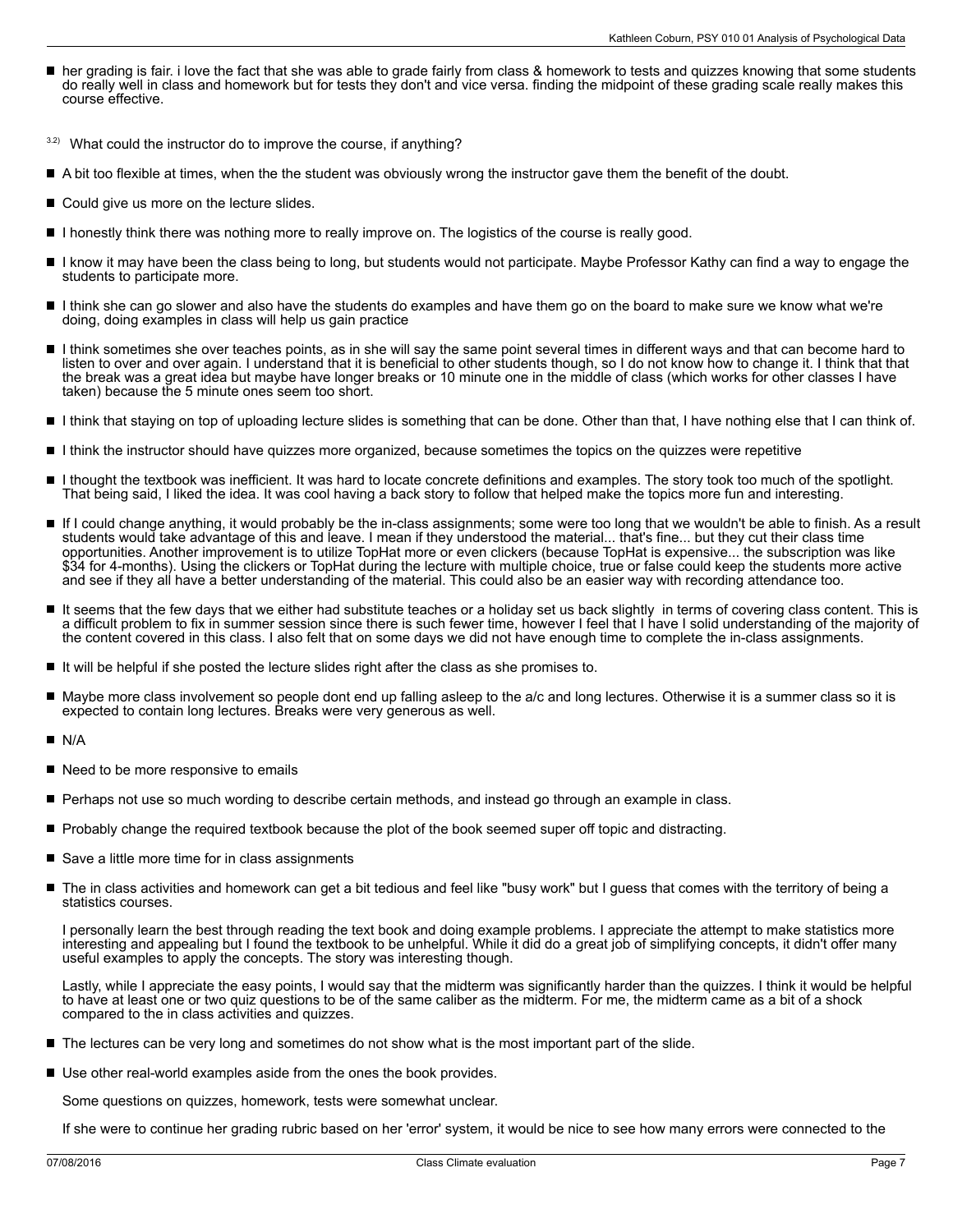- her grading is fair. i love the fact that she was able to grade fairly from class & homework to tests and quizzes knowing that some students do really well in class and homework but for tests they don't and vice versa. finding the midpoint of these grading scale really makes this course effective.
- $3.2)$  What could the instructor do to improve the course, if anything?
- A bit too flexible at times, when the the student was obviously wrong the instructor gave them the benefit of the doubt.
- Could give us more on the lecture slides.
- I honestly think there was nothing more to really improve on. The logistics of the course is really good.
- $\blacksquare$ I know it may have been the class being to long, but students would not participate. Maybe Professor Kathy can find a way to engage the students to participate more.
- I think she can go slower and also have the students do examples and have them go on the board to make sure we know what we're doing, doing examples in class will help us gain practice
- I think sometimes she over teaches points, as in she will say the same point several times in different ways and that can become hard to listen to over and over again. I understand that it is beneficial to other students though, so I do not know how to change it. I think that that the break was a great idea but maybe have longer breaks or 10 minute one in the middle of class (which works for other classes I have taken) because the 5 minute ones seem too short.
- I think that staying on top of uploading lecture slides is something that can be done. Other than that, I have nothing else that I can think of.
- I think the instructor should have quizzes more organized, because sometimes the topics on the quizzes were repetitive
- I thought the textbook was inefficient. It was hard to locate concrete definitions and examples. The story took too much of the spotlight. That being said, I liked the idea. It was cool having a back story to follow that helped make the topics more fun and interesting.
- If I could change anything, it would probably be the in-class assignments; some were too long that we wouldn't be able to finish. As a result students would take advantage of this and leave. I mean if they understood the material... that's fine... but they cut their class time opportunities. Another improvement is to utilize TopHat more or even clickers (because TopHat is expensive... the subscription was like \$34 for 4-months). Using the clickers or TopHat during the lecture with multiple choice, true or false could keep the students more active and see if they all have a better understanding of the material. This could also be an easier way with recording attendance too.
- $\blacksquare$ It seems that the few days that we either had substitute teaches or a holiday set us back slightly in terms of covering class content. This is a difficult problem to fix in summer session since there is such fewer time, however I feel that I have I solid understanding of the majority of the content covered in this class. I also felt that on some days we did not have enough time to complete the in-class assignments.
- $\blacksquare$  It will be helpful if she posted the lecture slides right after the class as she promises to.
- Maybe more class involvement so people dont end up falling asleep to the a/c and long lectures. Otherwise it is a summer class so it is expected to contain long lectures. Breaks were very generous as well.
- П N/A
- Need to be more responsive to emails
- **Perhaps not use so much wording to describe certain methods, and instead go through an example in class.**
- **Probably change the required textbook because the plot of the book seemed super off topic and distracting.**
- Save a little more time for in class assignments
- The in class activities and homework can get a bit tedious and feel like "busy work" but I quess that comes with the territory of being a statistics courses.

I personally learn the best through reading the text book and doing example problems. I appreciate the attempt to make statistics more interesting and appealing but I found the textbook to be unhelpful. While it did do a great job of simplifying concepts, it didn't offer many useful examples to apply the concepts. The story was interesting though.

Lastly, while I appreciate the easy points, I would say that the midterm was significantly harder than the quizzes. I think it would be helpful to have at least one or two quiz questions to be of the same caliber as the midterm. For me, the midterm came as a bit of a shock compared to the in class activities and quizzes.

- The lectures can be very long and sometimes do not show what is the most important part of the slide.
- Use other real-world examples aside from the ones the book provides.

Some questions on quizzes, homework, tests were somewhat unclear.

If she were to continue her grading rubric based on her 'error' system, it would be nice to see how many errors were connected to the